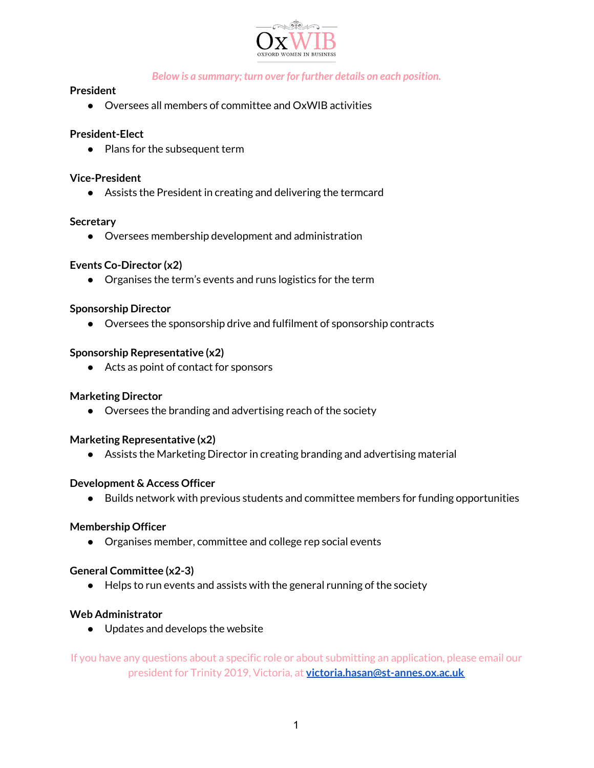

*Below is a summary; turn over for further details on each position.*

## **President**

● Oversees all members of committee and OxWIB activities

## **President-Elect**

● Plans for the subsequent term

## **Vice-President**

● Assists the President in creating and delivering the termcard

## **Secretary**

● Oversees membership development and administration

## **Events Co-Director (x2)**

● Organises the term's events and runs logistics for the term

## **Sponsorship Director**

● Oversees the sponsorship drive and fulfilment of sponsorship contracts

## **Sponsorship Representative (x2)**

● Acts as point of contact for sponsors

## **Marketing Director**

● Oversees the branding and advertising reach of the society

## **Marketing Representative (x2)**

● Assists the Marketing Director in creating branding and advertising material

## **Development & Access Officer**

● Builds network with previous students and committee members for funding opportunities

## **Membership Officer**

● Organises member, committee and college rep social events

## **General Committee (x2-3)**

● Helps to run events and assists with the general running of the society

## **Web Administrator**

● Updates and develops the website

If you have any questions about a specific role or about submitting an application, please email our president for Trinity 2019, Victoria, at **[victoria.hasan@st-annes.ox.ac.uk](mailto:victoria.hasan@st-annes.ox.ac.uk)**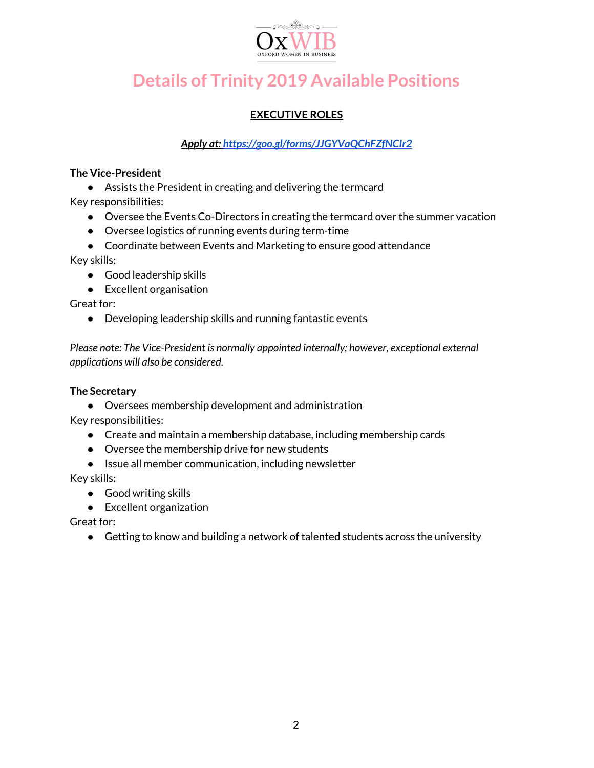

# **Details of Trinity 2019 Available Positions**

# **EXECUTIVE ROLES**

# *Apply at: <https://goo.gl/forms/JJGYVaQChFZfNCIr2>*

# **The Vice-President**

● Assists the President in creating and delivering the termcard

Key responsibilities:

- Oversee the Events Co-Directors in creating the termcard over the summer vacation
- Oversee logistics of running events during term-time
- Coordinate between Events and Marketing to ensure good attendance

Key skills:

- Good leadership skills
- Excellent organisation

Great for:

● Developing leadership skills and running fantastic events

*Please note: The Vice-President is normally appointed internally; however, exceptional external applications will also be considered.*

# **The Secretary**

● Oversees membership development and administration

Key responsibilities:

- Create and maintain a membership database, including membership cards
- Oversee the membership drive for new students
- Issue all member communication, including newsletter

Key skills:

- Good writing skills
- Excellent organization

Great for:

● Getting to know and building a network of talented students across the university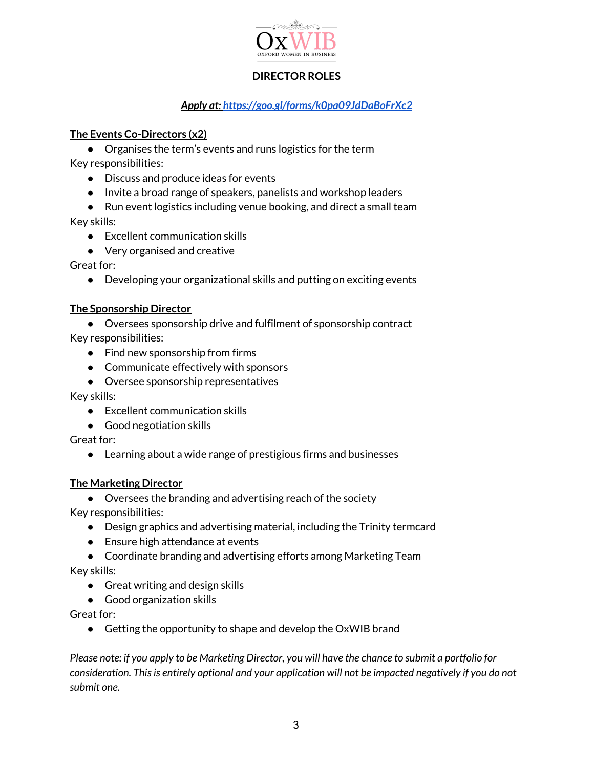

# **DIRECTOR ROLES**

# *Apply at: <https://goo.gl/forms/k0pa09JdDaBoFrXc2>*

## **The Events Co-Directors (x2)**

● Organises the term's events and runs logistics for the term Key responsibilities:

- Discuss and produce ideas for events
- Invite a broad range of speakers, panelists and workshop leaders
- Run event logistics including venue booking, and direct a small team

Key skills:

- Excellent communication skills
- Very organised and creative

Great for:

● Developing your organizational skills and putting on exciting events

## **The Sponsorship Director**

- Oversees sponsorship drive and fulfilment of sponsorship contract Key responsibilities:
	- Find new sponsorship from firms
	- Communicate effectively with sponsors
	- Oversee sponsorship representatives

Key skills:

- Excellent communication skills
- Good negotiation skills

Great for:

● Learning about a wide range of prestigious firms and businesses

## **The Marketing Director**

● Oversees the branding and advertising reach of the society

Key responsibilities:

- Design graphics and advertising material, including the Trinity termcard
- Ensure high attendance at events
- Coordinate branding and advertising efforts among Marketing Team Key skills:
	- Great writing and design skills
	- Good organization skills

Great for:

● Getting the opportunity to shape and develop the OxWIB brand

Please note: if you apply to be Marketing Director, you will have the chance to submit a portfolio for *consideration. Thisis entirely optional and your application will not be impacted negatively if you do not submit one.*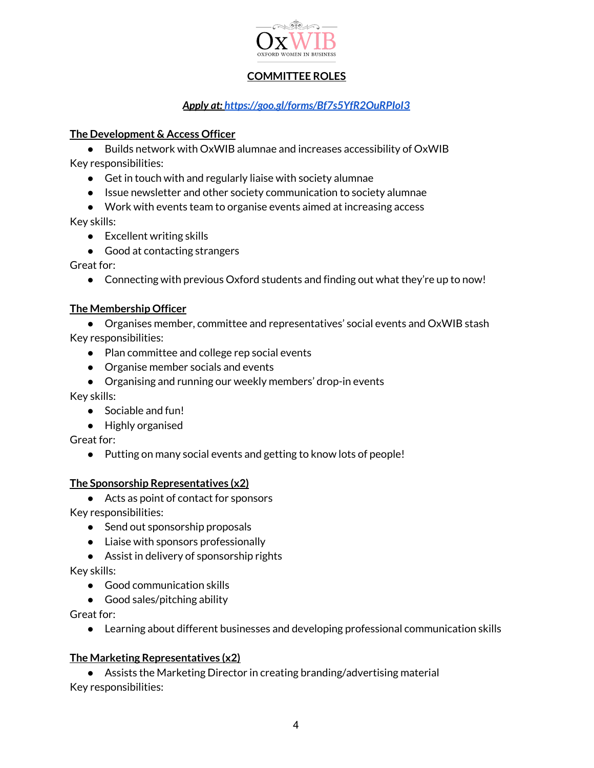

## **COMMITTEE ROLES**

# *Apply at: <https://goo.gl/forms/Bf7s5YfR2OuRPIoI3>*

## **The Development & Access Officer**

● Builds network with OxWIB alumnae and increases accessibility of OxWIB Key responsibilities:

- Get in touch with and regularly liaise with society alumnae
- Issue newsletter and other society communication to society alumnae
- Work with events team to organise events aimed at increasing access

Key skills:

- Excellent writing skills
- Good at contacting strangers

Great for:

● Connecting with previous Oxford students and finding out what they're up to now!

## **The Membership Officer**

● Organises member, committee and representatives' social events and OxWIB stash Key responsibilities:

- Plan committee and college rep social events
- Organise member socials and events
- Organising and running our weekly members' drop-in events

Key skills:

- Sociable and fun!
- Highly organised

Great for:

● Putting on many social events and getting to know lots of people!

## **The Sponsorship Representatives (x2)**

● Acts as point of contact for sponsors

Key responsibilities:

- Send out sponsorship proposals
- Liaise with sponsors professionally
- Assist in delivery of sponsorship rights

Key skills:

- Good communication skills
- Good sales/pitching ability

Great for:

● Learning about different businesses and developing professional communication skills

## **The Marketing Representatives (x2)**

● Assists the Marketing Director in creating branding/advertising material Key responsibilities: